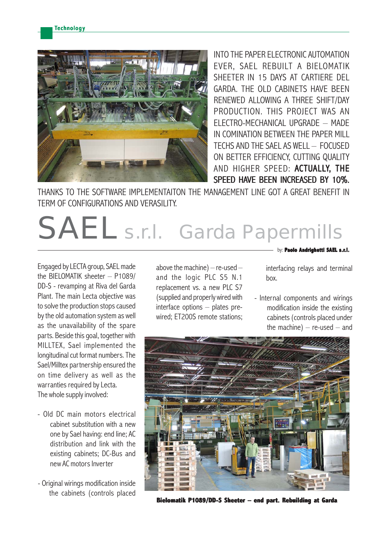

INTO THE PAPER ELECTRONIC AUTOMATION EVER, SAEL REBUILT A BIELOMATIK SHEETER IN 15 DAYS AT CARTIERE DEL GARDA. THE OLD CABINETS HAVE BEEN RENEWED ALLOWING A THREE SHIFT/DAY PRODUCTION. THIS PROJECT WAS AN ELECTRO-MECHANICAL UPGRADE – MADE IN COMINATION BETWEEN THE PAPER MILL TECHS AND THE SAEL AS WELL – FOCUSED ON BETTER EFFICIENCY, CUTTING QUALITY AND HIGHER SPEED: ACTUALLY, THE SPEED HAVE BEEN INCREASED BY 10%.

THANKS TO THE SOFTWARE IMPLEMENTAITON THE MANAGEMENT LINE GOT A GREAT BENEFIT IN TERM OF CONFIGURATIONS AND VERASILITY.

# SAEL s.r.l. Garda Papermills

Engaged by LECTA group, SAEL made the BIELOMATIK sheeter – P1089/ DD-S - revamping at Riva del Garda Plant. The main Lecta objective was to solve the production stops caused by the old automation system as well as the unavailability of the spare parts. Beside this goal, together with MILLTEX, Sael implemented the longitudinal cut format numbers. The Sael/Milltex partnership ensured the on time delivery as well as the warranties required by Lecta. The whole supply involved:

- Old DC main motors electrical cabinet substitution with a new one by Sael having: end line; AC distribution and link with the existing cabinets; DC-Bus and new AC motors Inverter
- Original wirings modification inside the cabinets (controls placed

above the machine)  $-$  re-used  $$ and the logic PLC S5 N.1 replacement vs. a new PLC S7 (supplied and properly wired with interface options – plates prewired; ET200S remote stations;

by: **Paolo Andrighetti SAEL s.r.l.**

interfacing relays and terminal box.

- Internal components and wirings modification inside the existing cabinets (controls placed under the machine)  $-$  re-used  $-$  and



**Bielomatik P1089/DD-S Sheeter – end part. Rebuilding at Garda**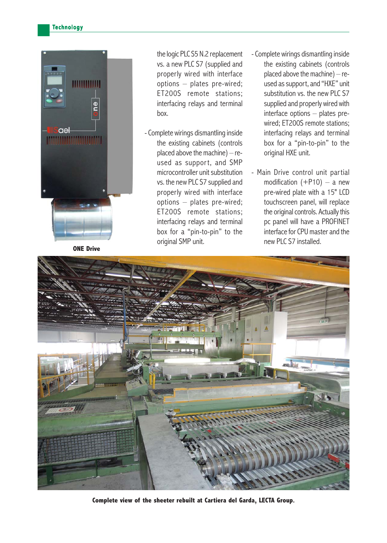

**ONE Drive**

the logic PLC S5 N.2 replacement vs. a new PLC S7 (supplied and properly wired with interface options – plates pre-wired; ET200S remote stations; interfacing relays and terminal box.

- Complete wirings dismantling inside the existing cabinets (controls placed above the machine)  $-$  reused as support, and SMP microcontroller unit substitution vs. the new PLC S7 supplied and properly wired with interface options – plates pre-wired; ET200S remote stations; interfacing relays and terminal box for a "pin-to-pin" to the original SMP unit.
- Complete wirings dismantling inside the existing cabinets (controls placed above the machine)  $-$  reused as support, and "HXE" unit substitution vs. the new PLC S7 supplied and properly wired with interface options – plates prewired; ET200S remote stations; interfacing relays and terminal box for a "pin-to-pin" to the original HXE unit.
- Main Drive control unit partial modification  $(+P10)$  – a new pre-wired plate with a 15" LCD touchscreen panel, will replace the original controls. Actually this pc panel will have a PROFINET interface for CPU master and the new PLC S7 installed.



**Complete view of the sheeter rebuilt at Cartiera del Garda, LECTA Group.**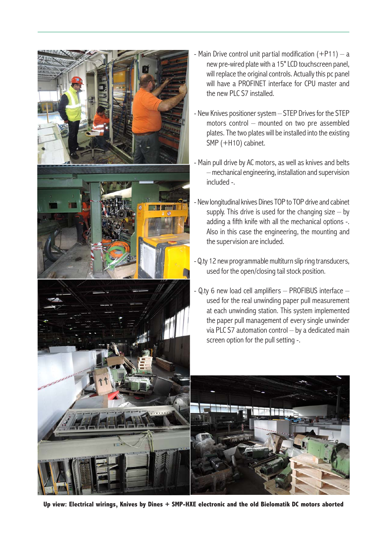

- Main Drive control unit partial modification  $(+P11) a$ new pre-wired plate with a 15" LCD touchscreen panel, will replace the original controls. Actually this pc panel will have a PROFINET interface for CPU master and
- New Knives positioner system STEP Drives for the STEP motors control – mounted on two pre assembled plates. The two plates will be installed into the existing
- Main pull drive by AC motors, as well as knives and belts – mechanical engineering, installation and supervision
- New longitudinal knives Dines TOP to TOP drive and cabinet supply. This drive is used for the changing size  $-$  by adding a fifth knife with all the mechanical options -. Also in this case the engineering, the mounting and the supervision are included.
- Q.ty 12 new programmable multiturn slip ring transducers, used for the open/closing tail stock position.
- Q.ty 6 new load cell amplifiers PROFIBUS interface used for the real unwinding paper pull measurement at each unwinding station. This system implemented the paper pull management of every single unwinder via PLC S7 automation control – by a dedicated main screen option for the pull setting -.

**Up view: Electrical wirings, Knives by Dines + SMP-HXE electronic and the old Bielomatik DC motors aborted**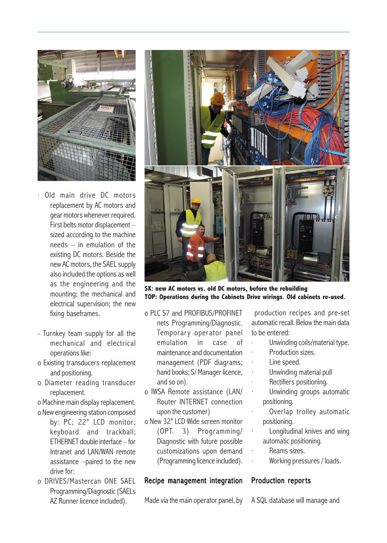

- · Old main drive DC motors replacement by AC motors and gear motors whenever required. First belts motor displacement – sized according to the machine  $needs - in$  emulation of the existing DC motors. Beside the new AC motors, the SAEL supply also included the options as well as the engineering and the mounting; the mechanical and electrical supervision; the new fixing baseframes.
- Turnkey team supply for all the mechanical and electrical operations like:
- o Existing transducers replacement and positioning.
- o Diameter reading transducer replacement.
- o Machine main display replacement.
- o New engineering station composed by: PC; 22" LCD monitor; keyboard and trackball; ETHERNET double interface – for Intranet and LAN/WAN remote assistance –paired to the new drive for:
- o DRIVES/Mastercan ONE SAEL Programming/Diagnostic (SAELs AZ Runner licence included).



**SX: new AC motors vs. old DC motors, before the rebuilding TOP: Operations during the Cabinets Drive wirings. Old cabinets re-used.**

- o PLC S7 and PROFIBUS/PROFINET nets Programming/Diagnostic. Temporary operator panel emulation in case of maintenance and documentation management (PDF diagrams; hand books; S/ Manager licence, and so on).
- o IWSA Remote assistance (LAN/ Router INTERNET connection upon the customer)
- o New 32" LCD Wide screen monitor (OPT. 3) Programming/ Diagnostic with future possible customizations upon demand (Programming licence included).

### Recipe management integration

Made via the main operator panel, by

 production recipes and pre-set automatic recall. Below the main data to be entered:

- · Unwinding coils/material type.
- Production sizes.
- Line speed.
- Unwinding material pull
- Rectifiers positioning.
- Unwinding groups automatic positioning.
- Overlap trolley automatic positioning.
- Longitudinal knives and wing automatic positioning.
- Reams sizes.
- Working pressures / loads.

### Production reports

A SQL database will manage and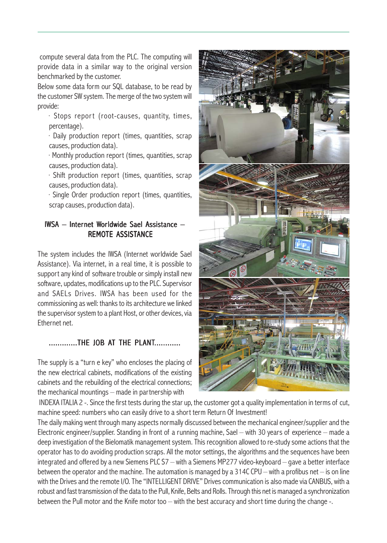compute several data from the PLC. The computing will provide data in a similar way to the original version benchmarked by the customer.

Below some data form our SQL database, to be read by the customer SW system. The merge of the two system will provide:

 $\cdot$  Stops report (root-causes, quantity, times, percentage).

· Daily production report (times, quantities, scrap causes, production data).

· Monthly production report (times, quantities, scrap causes, production data).

· Shift production report (times, quantities, scrap causes, production data).

· Single Order production report (times, quantities, scrap causes, production data).

## $IWSA - Internet Worldwide$  Sael Assistance – REMOTE ASSISTANCE

The system includes the IWSA (Internet worldwide Sael Assistance). Via internet, in a real time, it is possible to support any kind of software trouble or simply install new software, updates, modifications up to the PLC. Supervisor and SAELs Drives. IWSA has been used for the commissioning as well: thanks to its architecture we linked the supervisor system to a plant Host, or other devices, via Ethernet net.

## .............THE JOB AT THE PLANT.............

The supply is a "turn e key" who encloses the placing of the new electrical cabinets, modifications of the existing cabinets and the rebuilding of the electrical connections; the mechanical mountings – made in partnership with



 INDEXA ITALIA 2 -. Since the first tests during the star up, the customer got a quality implementation in terms of cut, machine speed: numbers who can easily drive to a short term Return Of Investment!

The daily making went through many aspects normally discussed between the mechanical engineer/supplier and the Electronic engineer/supplier. Standing in front of a running machine, Sael – with 30 years of experience – made a deep investigation of the Bielomatik management system. This recognition allowed to re-study some actions that the operator has to do avoiding production scraps. All the motor settings, the algorithms and the sequences have been integrated and offered by a new Siemens PLC S7 – with a Siemens MP277 video-keyboard – gave a better interface between the operator and the machine. The automation is managed by a 314C CPU – with a profibus net – is on line with the Drives and the remote I/O. The "INTELLIGENT DRIVE" Drives communication is also made via CANBUS, with a robust and fast transmission of the data to the Pull, Knife, Belts and Rolls. Through this net is managed a synchronization between the Pull motor and the Knife motor too – with the best accuracy and short time during the change -.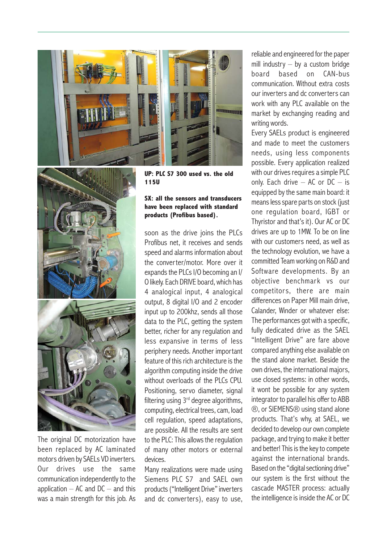



The original DC motorization have been replaced by AC laminated motors driven by SAELs VD inverters. Our drives use the same communication independently to the application  $-$  AC and DC  $-$  and this was a main strength for this job. As

**UP: PLC S7 300 used vs. the old 115U**

#### **SX: all the sensors and transducers have been replaced with standard products (Profibus based).**

soon as the drive joins the PLCs Profibus net, it receives and sends speed and alarms information about the converter/motor. More over it expands the PLCs I/O becoming an I/ O likely. Each DRIVE board, which has 4 analogical input, 4 analogical output, 8 digital I/O and 2 encoder input up to 200khz, sends all those data to the PLC, getting the system better, richer for any regulation and less expansive in terms of less periphery needs. Another important feature of this rich architecture is the algorithm computing inside the drive without overloads of the PLCs CPU. Positioning, servo diameter, signal filtering using  $3<sup>rd</sup>$  degree algorithms, computing, electrical trees, cam, load cell regulation, speed adaptations, are possible. All the results are sent to the PLC: This allows the regulation of many other motors or external devices.

Many realizations were made using Siemens PLC S7 and SAEL own products ("Intelligent Drive" inverters and dc converters), easy to use, reliable and engineered for the paper mill industry  $-$  by a custom bridge board based on CAN-bus communication. Without extra costs our inverters and dc converters can work with any PLC available on the market by exchanging reading and writing words.

Every SAELs product is engineered and made to meet the customers needs, using less components possible. Every application realized with our drives requires a simple PLC only. Each drive  $-$  AC or DC  $-$  is equipped by the same main board: it means less spare parts on stock (just one regulation board, IGBT or Thyristor and that's it). Our AC or DC drives are up to 1MW. To be on line with our customers need, as well as the technology evolution, we have a committed Team working on R&D and Software developments. By an objective benchmark vs our competitors, there are main differences on Paper Mill main drive, Calander, Winder or whatever else: The performances got with a specific, fully dedicated drive as the SAEL "Intelligent Drive" are fare above compared anything else available on the stand alone market. Beside the own drives, the international majors, use closed systems: in other words, it wont be possible for any system integrator to parallel his offer to ABB ®, or SIEMENS® using stand alone products. That's why, at SAEL, we decided to develop our own complete package, and trying to make it better and better! This is the key to compete against the international brands. Based on the "digital sectioning drive" our system is the first without the cascade MASTER process: actually the intelligence is inside the AC or DC